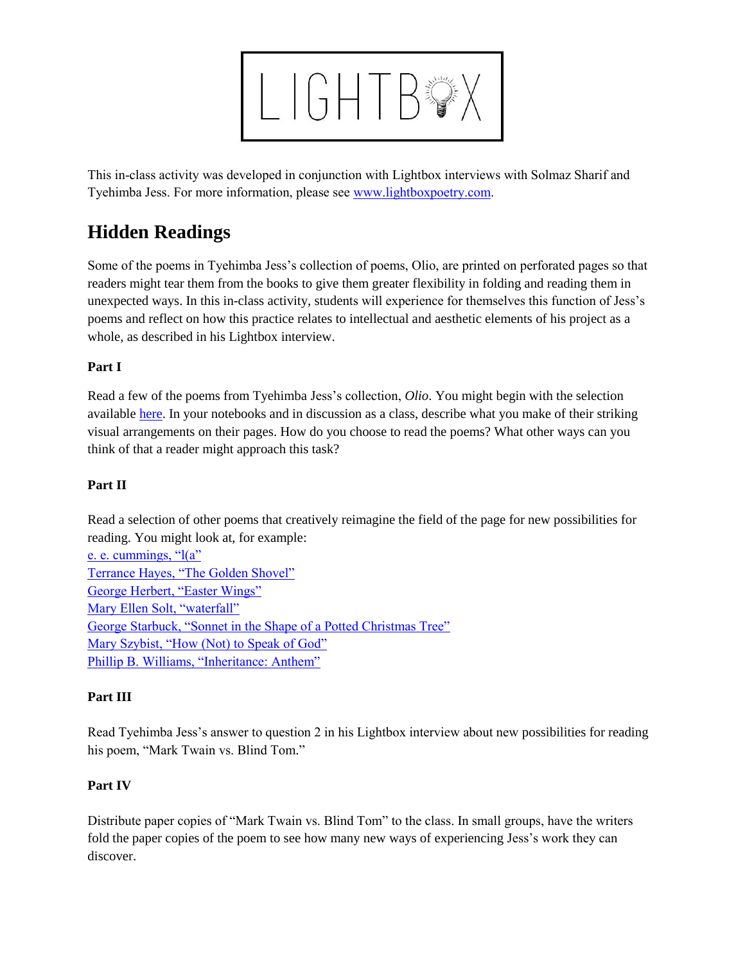

This in-class activity was developed in conjunction with Lightbox interviews with Solmaz Sharif and Tyehimba Jess. For more information, please see [www.lightboxpoetry.com.](http://www.lightboxpoetry.com/)

# **Hidden Readings**

Some of the poems in Tyehimba Jess's collection of poems, Olio, are printed on perforated pages so that readers might tear them from the books to give them greater flexibility in folding and reading them in unexpected ways. In this in-class activity, students will experience for themselves this function of Jess's poems and reflect on how this practice relates to intellectual and aesthetic elements of his project as a whole, as described in his Lightbox interview.

### **Part I**

Read a few of the poems from Tyehimba Jess's collection, *Olio*. You might begin with the selection available [here.](http://www.wavepoetry.com/products/olio) In your notebooks and in discussion as a class, describe what you make of their striking visual arrangements on their pages. How do you choose to read the poems? What other ways can you think of that a reader might approach this task?

## **Part II**

Read a selection of other poems that creatively reimagine the field of the page for new possibilities for reading. You might look at, for example:

| e. e. cummings, $\lq( a \rq)$                                     |
|-------------------------------------------------------------------|
| Terrance Hayes, "The Golden Shovel"                               |
| George Herbert, "Easter Wings"                                    |
| Mary Ellen Solt, "waterfall"                                      |
| George Starbuck, "Sonnet in the Shape of a Potted Christmas Tree" |
| Mary Szybist, "How (Not) to Speak of God"                         |
| Phillip B. Williams, "Inheritance: Anthem"                        |

### **Part III**

Read Tyehimba Jess's answer to question 2 in his Lightbox interview about new possibilities for reading his poem, "Mark Twain vs. Blind Tom."

## **Part IV**

Distribute paper copies of "Mark Twain vs. Blind Tom" to the class. In small groups, have the writers fold the paper copies of the poem to see how many new ways of experiencing Jess's work they can discover.